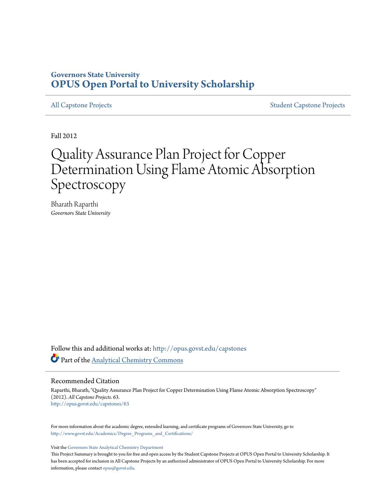#### **Governors State University [OPUS Open Portal to University Scholarship](http://opus.govst.edu?utm_source=opus.govst.edu%2Fcapstones%2F63&utm_medium=PDF&utm_campaign=PDFCoverPages)**

[All Capstone Projects](http://opus.govst.edu/capstones?utm_source=opus.govst.edu%2Fcapstones%2F63&utm_medium=PDF&utm_campaign=PDFCoverPages) [Student Capstone Projects](http://opus.govst.edu/student_capstones?utm_source=opus.govst.edu%2Fcapstones%2F63&utm_medium=PDF&utm_campaign=PDFCoverPages)

Fall 2012

# Quality Assurance Plan Project for Copper Determination Using Flame Atomic Absorption Spectroscopy

Bharath Raparthi *Governors State University*

Follow this and additional works at: [http://opus.govst.edu/capstones](http://opus.govst.edu/capstones?utm_source=opus.govst.edu%2Fcapstones%2F63&utm_medium=PDF&utm_campaign=PDFCoverPages) Part of the [Analytical Chemistry Commons](http://network.bepress.com/hgg/discipline/132?utm_source=opus.govst.edu%2Fcapstones%2F63&utm_medium=PDF&utm_campaign=PDFCoverPages)

Recommended Citation

Raparthi, Bharath, "Quality Assurance Plan Project for Copper Determination Using Flame Atomic Absorption Spectroscopy" (2012). *All Capstone Projects*. 63. [http://opus.govst.edu/capstones/63](http://opus.govst.edu/capstones/63?utm_source=opus.govst.edu%2Fcapstones%2F63&utm_medium=PDF&utm_campaign=PDFCoverPages)

For more information about the academic degree, extended learning, and certificate programs of Governors State University, go to [http://www.govst.edu/Academics/Degree\\_Programs\\_and\\_Certifications/](http://www.govst.edu/Academics/Degree_Programs_and_Certifications/)

Visit the [Governors State Analytical Chemistry Department](http://www.govst.edu/cas/chem/ms)

This Project Summary is brought to you for free and open access by the Student Capstone Projects at OPUS Open Portal to University Scholarship. It has been accepted for inclusion in All Capstone Projects by an authorized administrator of OPUS Open Portal to University Scholarship. For more information, please contact [opus@govst.edu](mailto:opus@govst.edu).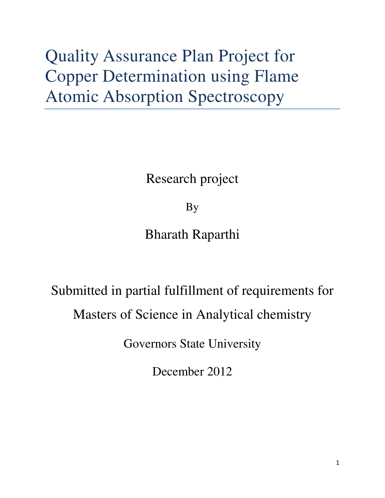# Quality Assurance Plan Project for Copper Determination using Flame Atomic Absorption Spectroscopy

Research project

By

Bharath Raparthi

# Submitted in partial fulfillment of requirements for Masters of Science in Analytical chemistry

Governors State University

December 2012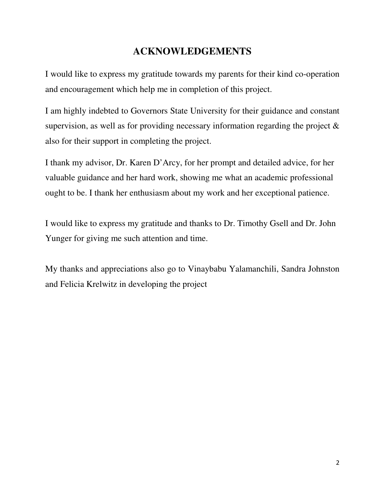### **ACKNOWLEDGEMENTS**

I would like to express my gratitude towards my parents for their kind co-operation and encouragement which help me in completion of this project.

I am highly indebted to Governors State University for their guidance and constant supervision, as well as for providing necessary information regarding the project & also for their support in completing the project.

I thank my advisor, Dr. Karen D'Arcy, for her prompt and detailed advice, for her valuable guidance and her hard work, showing me what an academic professional ought to be. I thank her enthusiasm about my work and her exceptional patience.

I would like to express my gratitude and thanks to Dr. Timothy Gsell and Dr. John Yunger for giving me such attention and time.

My thanks and appreciations also go to Vinaybabu Yalamanchili, Sandra Johnston and Felicia Krelwitz in developing the project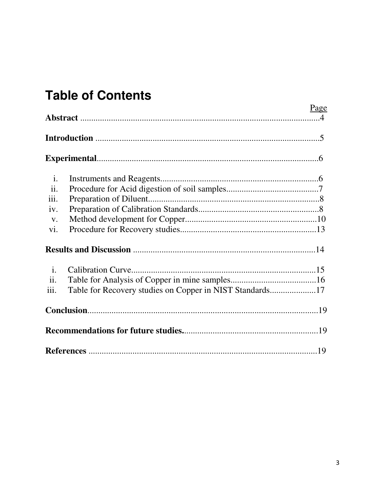# **Table of Contents**

|                |                                                          | Page |
|----------------|----------------------------------------------------------|------|
|                |                                                          |      |
|                |                                                          |      |
| $\mathbf{i}$ . |                                                          |      |
| ii.            |                                                          |      |
| iii.           |                                                          |      |
| iv.            |                                                          |      |
| V.             |                                                          |      |
| vi.            |                                                          |      |
|                |                                                          |      |
| $\mathbf{i}$ . |                                                          |      |
| ii.            |                                                          |      |
| iii.           | Table for Recovery studies on Copper in NIST Standards17 |      |
|                |                                                          |      |
|                |                                                          |      |
|                |                                                          |      |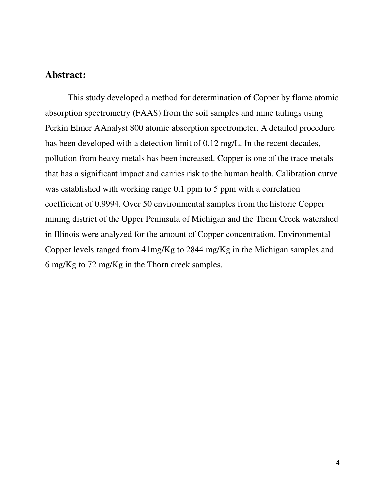#### **Abstract:**

This study developed a method for determination of Copper by flame atomic absorption spectrometry (FAAS) from the soil samples and mine tailings using Perkin Elmer AAnalyst 800 atomic absorption spectrometer. A detailed procedure has been developed with a detection limit of 0.12 mg/L. In the recent decades, pollution from heavy metals has been increased. Copper is one of the trace metals that has a significant impact and carries risk to the human health. Calibration curve was established with working range 0.1 ppm to 5 ppm with a correlation coefficient of 0.9994. Over 50 environmental samples from the historic Copper mining district of the Upper Peninsula of Michigan and the Thorn Creek watershed in Illinois were analyzed for the amount of Copper concentration. Environmental Copper levels ranged from 41mg/Kg to 2844 mg/Kg in the Michigan samples and 6 mg/Kg to 72 mg/Kg in the Thorn creek samples.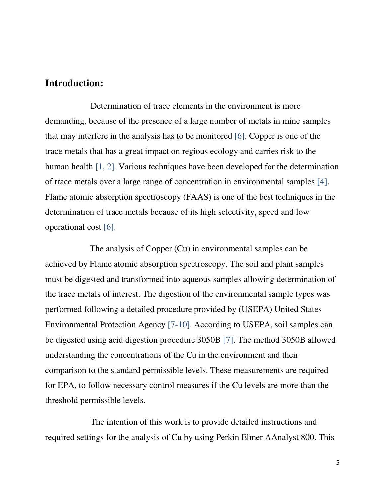#### **Introduction:**

 Determination of trace elements in the environment is more demanding, because of the presence of a large number of metals in mine samples that may interfere in the analysis has to be monitored [6]. Copper is one of the trace metals that has a great impact on regious ecology and carries risk to the human health [1, 2]. Various techniques have been developed for the determination of trace metals over a large range of concentration in environmental samples [4]. Flame atomic absorption spectroscopy (FAAS) is one of the best techniques in the determination of trace metals because of its high selectivity, speed and low operational cost [6].

 The analysis of Copper (Cu) in environmental samples can be achieved by Flame atomic absorption spectroscopy. The soil and plant samples must be digested and transformed into aqueous samples allowing determination of the trace metals of interest. The digestion of the environmental sample types was performed following a detailed procedure provided by (USEPA) United States Environmental Protection Agency [7-10]. According to USEPA, soil samples can be digested using acid digestion procedure 3050B [7]. The method 3050B allowed understanding the concentrations of the Cu in the environment and their comparison to the standard permissible levels. These measurements are required for EPA, to follow necessary control measures if the Cu levels are more than the threshold permissible levels.

 The intention of this work is to provide detailed instructions and required settings for the analysis of Cu by using Perkin Elmer AAnalyst 800. This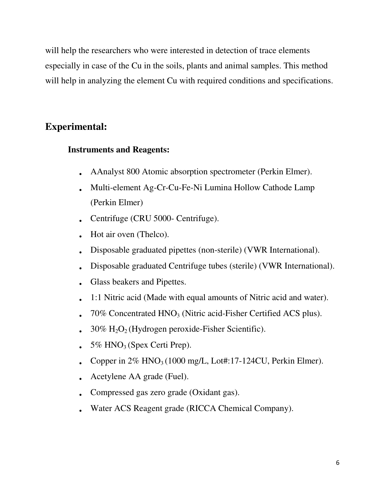will help the researchers who were interested in detection of trace elements especially in case of the Cu in the soils, plants and animal samples. This method will help in analyzing the element Cu with required conditions and specifications.

### **Experimental:**

#### **Instruments and Reagents:**

- AAnalyst 800 Atomic absorption spectrometer (Perkin Elmer).
- Multi-element Ag-Cr-Cu-Fe-Ni Lumina Hollow Cathode Lamp (Perkin Elmer)
- Centrifuge (CRU 5000- Centrifuge).
- Hot air oven (Thelco).
- Disposable graduated pipettes (non-sterile) (VWR International).
- Disposable graduated Centrifuge tubes (sterile) (VWR International).
- Glass beakers and Pipettes.
- 1:1 Nitric acid (Made with equal amounts of Nitric acid and water).
- 70% Concentrated HNO<sub>3</sub> (Nitric acid-Fisher Certified ACS plus).
- $30\%$  H<sub>2</sub>O<sub>2</sub> (Hydrogen peroxide-Fisher Scientific).
- $5\%$  HNO<sub>3</sub> (Spex Certi Prep).
- Copper in  $2\%$  HNO<sub>3</sub> (1000 mg/L, Lot#:17-124CU, Perkin Elmer).
- Acetylene AA grade (Fuel).
- Compressed gas zero grade (Oxidant gas).
- Water ACS Reagent grade (RICCA Chemical Company).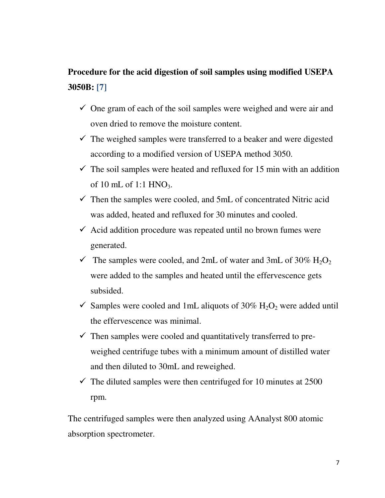## **Procedure for the acid digestion of soil samples using modified USEPA 3050B: [7]**

- $\checkmark$  One gram of each of the soil samples were weighed and were air and oven dried to remove the moisture content.
- $\checkmark$  The weighed samples were transferred to a beaker and were digested according to a modified version of USEPA method 3050.
- $\checkmark$  The soil samples were heated and refluxed for 15 min with an addition of 10 mL of 1:1  $HNO<sub>3</sub>$ .
- $\checkmark$  Then the samples were cooled, and 5mL of concentrated Nitric acid was added, heated and refluxed for 30 minutes and cooled.
- $\checkmark$  Acid addition procedure was repeated until no brown fumes were generated.
- $\checkmark$  The samples were cooled, and 2mL of water and 3mL of 30% H<sub>2</sub>O<sub>2</sub> were added to the samples and heated until the effervescence gets subsided.
- $\checkmark$  Samples were cooled and 1mL aliquots of 30% H<sub>2</sub>O<sub>2</sub> were added until the effervescence was minimal.
- $\checkmark$  Then samples were cooled and quantitatively transferred to preweighed centrifuge tubes with a minimum amount of distilled water and then diluted to 30mL and reweighed.
- $\checkmark$  The diluted samples were then centrifuged for 10 minutes at 2500 rpm.

The centrifuged samples were then analyzed using AAnalyst 800 atomic absorption spectrometer.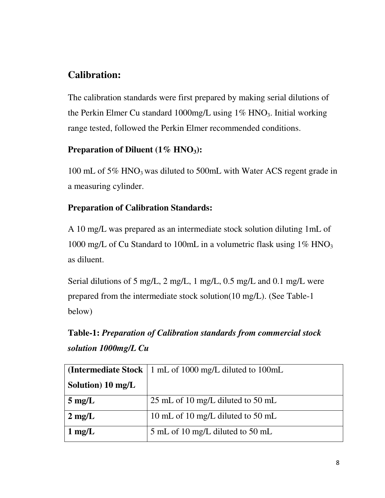### **Calibration:**

The calibration standards were first prepared by making serial dilutions of the Perkin Elmer Cu standard  $1000$ mg/L using  $1\%$  HNO<sub>3</sub>. Initial working range tested, followed the Perkin Elmer recommended conditions.

#### **Preparation of Diluent (1% HNO3):**

100 mL of 5% HNO<sub>3</sub> was diluted to 500mL with Water ACS regent grade in a measuring cylinder.

#### **Preparation of Calibration Standards:**

A 10 mg/L was prepared as an intermediate stock solution diluting 1mL of 1000 mg/L of Cu Standard to 100mL in a volumetric flask using  $1\%$  HNO<sub>3</sub> as diluent.

Serial dilutions of 5 mg/L, 2 mg/L, 1 mg/L, 0.5 mg/L and 0.1 mg/L were prepared from the intermediate stock solution(10 mg/L). (See Table-1 below)

**Table-1:** *Preparation of Calibration standards from commercial stock solution 1000mg/L Cu*

|                   | <b>(Intermediate Stock</b> $\vert$ 1 mL of 1000 mg/L diluted to 100mL |
|-------------------|-----------------------------------------------------------------------|
| Solution) 10 mg/L |                                                                       |
| $5 \text{ mg/L}$  | 25 mL of 10 mg/L diluted to 50 mL                                     |
| $2 \text{ mg/L}$  | 10 mL of 10 mg/L diluted to 50 mL                                     |
| $1 \text{ mg/L}$  | 5 mL of 10 mg/L diluted to 50 mL                                      |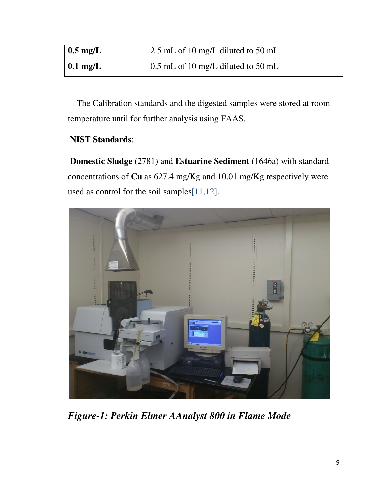| $0.5 \text{ mg/L}$ | $\vert$ 2.5 mL of 10 mg/L diluted to 50 mL |
|--------------------|--------------------------------------------|
| $0.1$ mg/L         | $\vert$ 0.5 mL of 10 mg/L diluted to 50 mL |

 The Calibration standards and the digested samples were stored at room temperature until for further analysis using FAAS.

#### **NIST Standards**:

**Domestic Sludge** (2781) and **Estuarine Sediment** (1646a) with standard concentrations of **Cu** as 627.4 mg/Kg and 10.01 mg/Kg respectively were used as control for the soil samples[11,12].



*Figure-1: Perkin Elmer AAnalyst 800 in Flame Mode*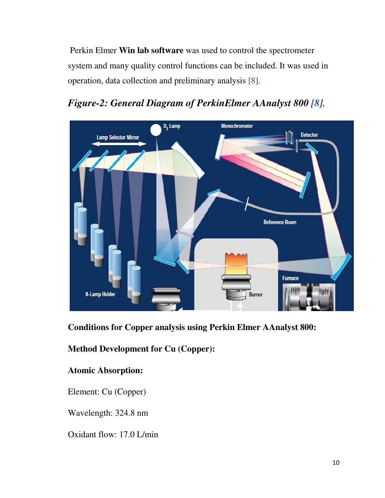Perkin Elmer **Win lab software** was used to control the spectrometer system and many quality control functions can be included. It was used in operation, data collection and preliminary analysis [8].



## *Figure-2: General Diagram of PerkinElmer AAnalyst 800 [8].*

**Conditions for Copper analysis using Perkin Elmer AAnalyst 800:** 

**Method Development for Cu (Copper):** 

#### **Atomic Absorption:**

Element: Cu (Copper)

Wavelength: 324.8 nm

Oxidant flow: 17.0 L/min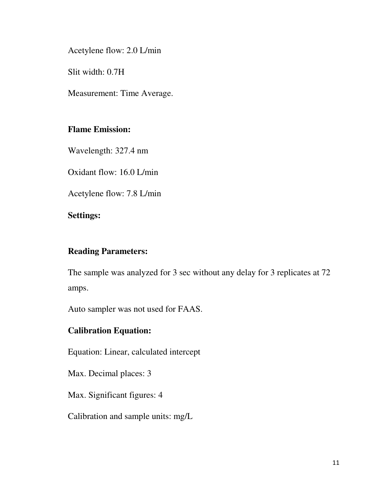Acetylene flow: 2.0 L/min

Slit width: 0.7H

Measurement: Time Average.

#### **Flame Emission:**

Wavelength: 327.4 nm

Oxidant flow: 16.0 L/min

Acetylene flow: 7.8 L/min

#### **Settings:**

#### **Reading Parameters:**

The sample was analyzed for 3 sec without any delay for 3 replicates at 72 amps.

Auto sampler was not used for FAAS.

#### **Calibration Equation:**

Equation: Linear, calculated intercept

Max. Decimal places: 3

Max. Significant figures: 4

Calibration and sample units: mg/L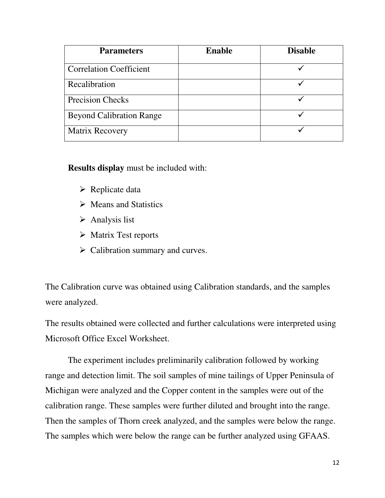| <b>Parameters</b>               | <b>Enable</b> | <b>Disable</b> |
|---------------------------------|---------------|----------------|
| <b>Correlation Coefficient</b>  |               |                |
| Recalibration                   |               |                |
| <b>Precision Checks</b>         |               |                |
| <b>Beyond Calibration Range</b> |               |                |
| Matrix Recovery                 |               |                |

**Results display** must be included with:

- **► Replicate data**
- Means and Statistics
- > Analysis list
- > Matrix Test reports
- > Calibration summary and curves.

The Calibration curve was obtained using Calibration standards, and the samples were analyzed.

The results obtained were collected and further calculations were interpreted using Microsoft Office Excel Worksheet.

The experiment includes preliminarily calibration followed by working range and detection limit. The soil samples of mine tailings of Upper Peninsula of Michigan were analyzed and the Copper content in the samples were out of the calibration range. These samples were further diluted and brought into the range. Then the samples of Thorn creek analyzed, and the samples were below the range. The samples which were below the range can be further analyzed using GFAAS.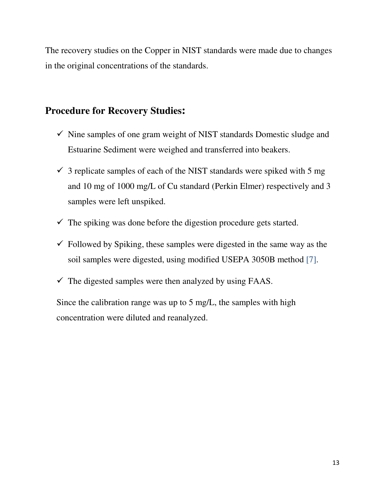The recovery studies on the Copper in NIST standards were made due to changes in the original concentrations of the standards.

#### **Procedure for Recovery Studies:**

- $\checkmark$  Nine samples of one gram weight of NIST standards Domestic sludge and Estuarine Sediment were weighed and transferred into beakers.
- $\checkmark$  3 replicate samples of each of the NIST standards were spiked with 5 mg and 10 mg of 1000 mg/L of Cu standard (Perkin Elmer) respectively and 3 samples were left unspiked.
- $\checkmark$  The spiking was done before the digestion procedure gets started.
- $\checkmark$  Followed by Spiking, these samples were digested in the same way as the soil samples were digested, using modified USEPA 3050B method [7].
- $\checkmark$  The digested samples were then analyzed by using FAAS.

Since the calibration range was up to 5 mg/L, the samples with high concentration were diluted and reanalyzed.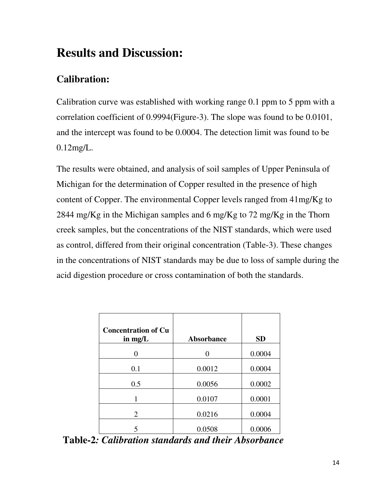# **Results and Discussion:**

# **Calibration:**

Calibration curve was established with working range 0.1 ppm to 5 ppm with a correlation coefficient of 0.9994(Figure-3). The slope was found to be 0.0101, and the intercept was found to be 0.0004. The detection limit was found to be 0.12mg/L.

The results were obtained, and analysis of soil samples of Upper Peninsula of Michigan for the determination of Copper resulted in the presence of high content of Copper. The environmental Copper levels ranged from 41mg/Kg to 2844 mg/Kg in the Michigan samples and 6 mg/Kg to 72 mg/Kg in the Thorn creek samples, but the concentrations of the NIST standards, which were used as control, differed from their original concentration (Table-3). These changes in the concentrations of NIST standards may be due to loss of sample during the acid digestion procedure or cross contamination of both the standards.

| <b>Concentration of Cu</b><br>in $mg/L$ | <b>Absorbance</b> | <b>SD</b> |
|-----------------------------------------|-------------------|-----------|
|                                         |                   | 0.0004    |
| 0.1                                     | 0.0012            | 0.0004    |
| 0.5                                     | 0.0056            | 0.0002    |
| 1                                       | 0.0107            | 0.0001    |
| 2                                       | 0.0216            | 0.0004    |
|                                         | 0.0508            | 0.0006    |

 **Table-2***: Calibration standards and their Absorbance*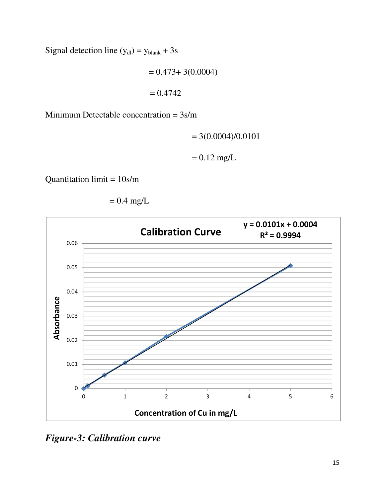Signal detection line  $(y_{dl}) = y_{blank} + 3s$ 

 $= 0.473 + 3(0.0004)$  $= 0.4742$ 

Minimum Detectable concentration = 3s/m

$$
= 3(0.0004)/0.0101
$$

 $= 0.12$  mg/L

Quantitation limit = 10s/m



$$
= 0.4 \text{ mg/L}
$$

*Figure-3: Calibration curve*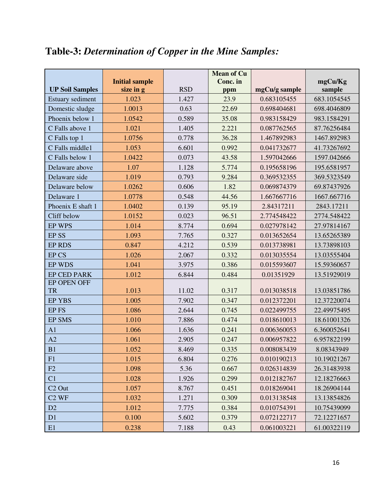# **Table-3:** *Determination of Copper in the Mine Samples:*

|                        |                       |            | <b>Mean of Cu</b> |               |             |
|------------------------|-----------------------|------------|-------------------|---------------|-------------|
|                        | <b>Initial sample</b> |            | Conc. in          |               | mgCu/Kg     |
| <b>UP Soil Samples</b> | size in g             | <b>RSD</b> | ppm               | mgCu/g sample | sample      |
| Estuary sediment       | 1.023                 | 1.427      | 23.9              | 0.683105455   | 683.1054545 |
| Domestic sludge        | 1.0013                | 0.63       | 22.69             | 0.698404681   | 698.4046809 |
| Phoenix below 1        | 1.0542                | 0.589      | 35.08             | 0.983158429   | 983.1584291 |
| C Falls above 1        | 1.021                 | 1.405      | 2.221             | 0.087762565   | 87.76256484 |
| C Falls top 1          | 1.0756                | 0.778      | 36.28             | 1.467892983   | 1467.892983 |
| C Falls middle1        | 1.053                 | 6.601      | 0.992             | 0.041732677   | 41.73267692 |
| C Falls below 1        | 1.0422                | 0.073      | 43.58             | 1.597042666   | 1597.042666 |
| Delaware above         | 1.07                  | 1.128      | 5.774             | 0.195658196   | 195.6581957 |
| Delaware side          | 1.019                 | 0.793      | 9.284             | 0.369532355   | 369.5323549 |
| Delaware below         | 1.0262                | 0.606      | 1.82              | 0.069874379   | 69.87437926 |
| Delaware 1             | 1.0778                | 0.548      | 44.56             | 1.667667716   | 1667.667716 |
| Phoenix E shaft 1      | 1.0402                | 0.139      | 95.19             | 2.84317211    | 2843.17211  |
| Cliff below            | 1.0152                | 0.023      | 96.51             | 2.774548422   | 2774.548422 |
| <b>EP WPS</b>          | 1.014                 | 8.774      | 0.694             | 0.027978142   | 27.97814167 |
| <b>EPSS</b>            | 1.093                 | 7.765      | 0.327             | 0.013652654   | 13.65265389 |
| <b>EP RDS</b>          | 0.847                 | 4.212      | 0.539             | 0.013738981   | 13.73898103 |
| <b>EPCS</b>            | 1.026                 | 2.067      | 0.332             | 0.013035554   | 13.03555404 |
| EP WDS                 | 1.041                 | 3.975      | 0.386             | 0.015593607   | 15.59360657 |
| <b>EP CED PARK</b>     | 1.012                 | 6.844      | 0.484             | 0.01351929    | 13.51929019 |
| EP OPEN OFF            |                       |            |                   |               |             |
| <b>TR</b>              | 1.013                 | 11.02      | 0.317             | 0.013038518   | 13.03851786 |
| <b>EP YBS</b>          | 1.005                 | 7.902      | 0.347             | 0.012372201   | 12.37220074 |
| EP <sub>FS</sub>       | 1.086                 | 2.644      | 0.745             | 0.022499755   | 22.49975495 |
| <b>EP SMS</b>          | 1.010                 | 7.886      | 0.474             | 0.018610013   | 18.61001326 |
| A <sub>1</sub>         | 1.066                 | 1.636      | 0.241             | 0.006360053   | 6.360052641 |
| A2                     | 1.061                 | 2.905      | 0.247             | 0.006957822   | 6.957822199 |
| B1                     | 1.052                 | 8.469      | 0.335             | 0.008083439   | 8.08343949  |
| F <sub>1</sub>         | 1.015                 | 6.804      | 0.276             | 0.010190213   | 10.19021267 |
| F2                     | 1.098                 | 5.36       | 0.667             | 0.026314839   | 26.31483938 |
| C1                     | 1.028                 | 1.926      | 0.299             | 0.012182767   | 12.18276663 |
| C <sub>2</sub> Out     | 1.057                 | 8.767      | 0.451             | 0.018269041   | 18.26904144 |
| $C2$ WF                | 1.032                 | 1.271      | 0.309             | 0.013138548   | 13.13854826 |
| D2                     | 1.012                 | 7.775      | 0.384             | 0.010754391   | 10.75439099 |
| D1                     | 0.100                 | 5.602      | 0.379             | 0.072122717   | 72.12271657 |
| E1                     | 0.238                 | 7.188      | 0.43              | 0.061003221   | 61.00322119 |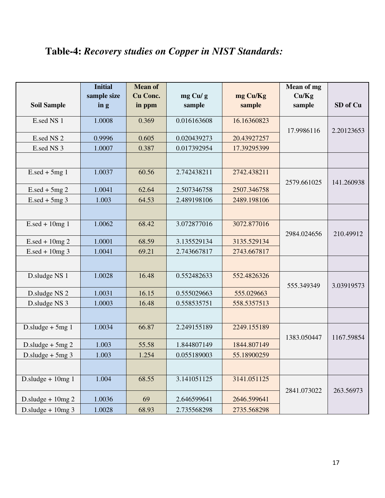# **Table-4:** *Recovery studies on Copper in NIST Standards:*

|                                  | <b>Initial</b><br>sample size | <b>Mean of</b><br>Cu Conc. |                   |                    | Mean of mg<br>Cu/Kg |            |
|----------------------------------|-------------------------------|----------------------------|-------------------|--------------------|---------------------|------------|
| <b>Soil Sample</b>               | $\ln g$                       | in ppm                     | mg Cu/g<br>sample | mg Cu/Kg<br>sample | sample              | SD of Cu   |
| E.sed NS 1                       | 1.0008                        | 0.369                      | 0.016163608       | 16.16360823        | 17.9986116          | 2.20123653 |
| E.sed NS 2                       | 0.9996                        | 0.605                      | 0.020439273       | 20.43927257        |                     |            |
| E.sed NS 3                       | 1.0007                        | 0.387                      | 0.017392954       | 17.39295399        |                     |            |
|                                  |                               |                            |                   |                    |                     |            |
| $E.\text{sed} + 5\text{mg}$ 1    | 1.0037                        | 60.56                      | 2.742438211       | 2742.438211        | 2579.661025         | 141.260938 |
| $E.\text{sed} + 5\text{mg } 2$   | 1.0041                        | 62.64                      | 2.507346758       | 2507.346758        |                     |            |
| $E.\text{sed} + 5 \text{mg } 3$  | 1.003                         | 64.53                      | 2.489198106       | 2489.198106        |                     |            |
|                                  |                               |                            |                   |                    |                     |            |
| $E.\text{sed} + 10\text{mg}$ 1   | 1.0062                        | 68.42                      | 3.072877016       | 3072.877016        | 2984.024656         | 210.49912  |
| $E.\text{sed} + 10 \text{mg } 2$ | 1.0001                        | 68.59                      | 3.135529134       | 3135.529134        |                     |            |
| $E.\text{sed} + 10\text{mg}$ 3   | 1.0041                        | 69.21                      | 2.743667817       | 2743.667817        |                     |            |
|                                  |                               |                            |                   |                    |                     |            |
| D.sludge NS 1                    | 1.0028                        | 16.48                      | 0.552482633       | 552.4826326        | 555.349349          | 3.03919573 |
| D.sludge NS 2                    | 1.0031                        | 16.15                      | 0.555029663       | 555.029663         |                     |            |
| D.sludge NS 3                    | 1.0003                        | 16.48                      | 0.558535751       | 558.5357513        |                     |            |
|                                  |                               |                            |                   |                    |                     |            |
| D.sludge $+5mg$ 1                | 1.0034                        | 66.87                      | 2.249155189       | 2249.155189        | 1383.050447         | 1167.59854 |
| D.sludge $+5mg$ 2                | 1.003                         | 55.58                      | 1.844807149       | 1844.807149        |                     |            |
| D.sludge $+5mg$ 3                | 1.003                         | 1.254                      | 0.055189003       | 55.18900259        |                     |            |
|                                  |                               |                            |                   |                    |                     |            |
| D.sludge + $10mg1$               | 1.004                         | 68.55                      | 3.141051125       | 3141.051125        | 2841.073022         | 263.56973  |
| D.sludge + $10mg$ 2              | 1.0036                        | 69                         | 2.646599641       | 2646.599641        |                     |            |
| D.sludge + $10mg$ 3              | 1.0028                        | 68.93                      | 2.735568298       | 2735.568298        |                     |            |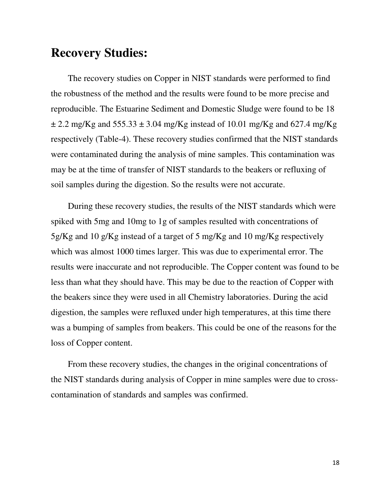## **Recovery Studies:**

The recovery studies on Copper in NIST standards were performed to find the robustness of the method and the results were found to be more precise and reproducible. The Estuarine Sediment and Domestic Sludge were found to be 18  $\pm$  2.2 mg/Kg and 555.33  $\pm$  3.04 mg/Kg instead of 10.01 mg/Kg and 627.4 mg/Kg respectively (Table-4). These recovery studies confirmed that the NIST standards were contaminated during the analysis of mine samples. This contamination was may be at the time of transfer of NIST standards to the beakers or refluxing of soil samples during the digestion. So the results were not accurate.

During these recovery studies, the results of the NIST standards which were spiked with 5mg and 10mg to 1g of samples resulted with concentrations of 5g/Kg and 10 g/Kg instead of a target of 5 mg/Kg and 10 mg/Kg respectively which was almost 1000 times larger. This was due to experimental error. The results were inaccurate and not reproducible. The Copper content was found to be less than what they should have. This may be due to the reaction of Copper with the beakers since they were used in all Chemistry laboratories. During the acid digestion, the samples were refluxed under high temperatures, at this time there was a bumping of samples from beakers. This could be one of the reasons for the loss of Copper content.

From these recovery studies, the changes in the original concentrations of the NIST standards during analysis of Copper in mine samples were due to crosscontamination of standards and samples was confirmed.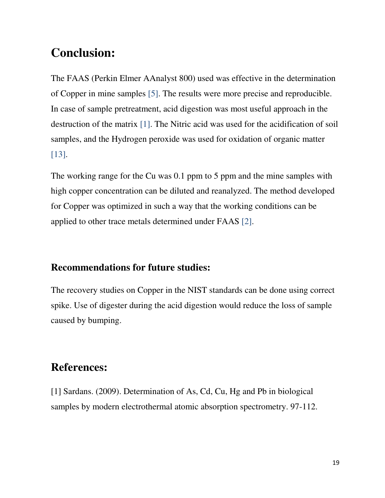# **Conclusion:**

The FAAS (Perkin Elmer AAnalyst 800) used was effective in the determination of Copper in mine samples [5]. The results were more precise and reproducible. In case of sample pretreatment, acid digestion was most useful approach in the destruction of the matrix [1]. The Nitric acid was used for the acidification of soil samples, and the Hydrogen peroxide was used for oxidation of organic matter [13].

The working range for the Cu was 0.1 ppm to 5 ppm and the mine samples with high copper concentration can be diluted and reanalyzed. The method developed for Copper was optimized in such a way that the working conditions can be applied to other trace metals determined under FAAS [2].

#### **Recommendations for future studies:**

The recovery studies on Copper in the NIST standards can be done using correct spike. Use of digester during the acid digestion would reduce the loss of sample caused by bumping.

### **References:**

[1] Sardans. (2009). Determination of As, Cd, Cu, Hg and Pb in biological samples by modern electrothermal atomic absorption spectrometry. 97-112.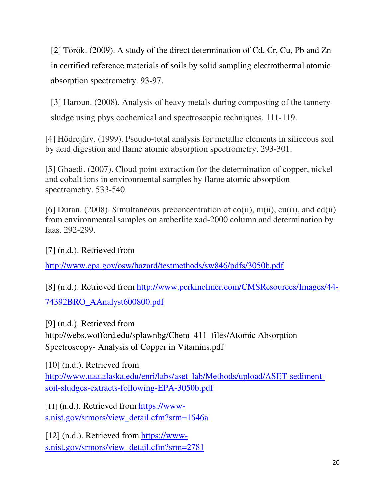[2] Török. (2009). A study of the direct determination of Cd, Cr, Cu, Pb and Zn in certified reference materials of soils by solid sampling electrothermal atomic absorption spectrometry. 93-97.

[3] Haroun. (2008). Analysis of heavy metals during composting of the tannery sludge using physicochemical and spectroscopic techniques. 111-119.

[4] Hödrejärv. (1999). Pseudo-total analysis for metallic elements in siliceous soil by acid digestion and flame atomic absorption spectrometry. 293-301.

[5] Ghaedi. (2007). Cloud point extraction for the determination of copper, nickel and cobalt ions in environmental samples by flame atomic absorption spectrometry. 533-540.

[6] Duran. (2008). Simultaneous preconcentration of  $co(ii)$ ,  $ni(ii)$ ,  $cu(ii)$ , and  $cd(ii)$ from environmental samples on amberlite xad-2000 column and determination by faas. 292-299.

[7] (n.d.). Retrieved from

http://www.epa.gov/osw/hazard/testmethods/sw846/pdfs/3050b.pdf

[8] (n.d.). Retrieved from http://www.perkinelmer.com/CMSResources/Images/44-

74392BRO\_AAnalyst600800.pdf

[9] (n.d.). Retrieved from http://webs.wofford.edu/splawnbg/Chem\_411\_files/Atomic Absorption Spectroscopy- Analysis of Copper in Vitamins.pdf

[10] (n.d.). Retrieved from http://www.uaa.alaska.edu/enri/labs/aset\_lab/Methods/upload/ASET-sedimentsoil-sludges-extracts-following-EPA-3050b.pdf

[11] (n.d.). Retrieved from https://wwws.nist.gov/srmors/view\_detail.cfm?srm=1646a

[12] (n.d.). Retrieved from https://wwws.nist.gov/srmors/view\_detail.cfm?srm=2781